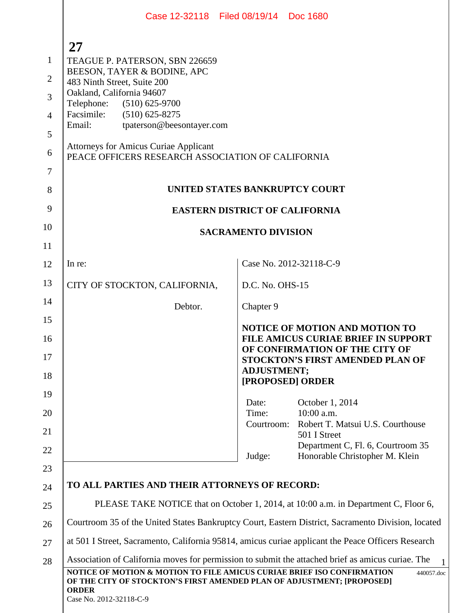|                | Case 12-32118 Filed 08/19/14 Doc 1680                                                                                                                                                       |                            |                                                                              |
|----------------|---------------------------------------------------------------------------------------------------------------------------------------------------------------------------------------------|----------------------------|------------------------------------------------------------------------------|
|                |                                                                                                                                                                                             |                            |                                                                              |
| $\mathbf{1}$   | <b>27</b><br>TEAGUE P. PATERSON, SBN 226659                                                                                                                                                 |                            |                                                                              |
| $\overline{2}$ | BEESON, TAYER & BODINE, APC                                                                                                                                                                 |                            |                                                                              |
| 3              | 483 Ninth Street, Suite 200<br>Oakland, California 94607                                                                                                                                    |                            |                                                                              |
| $\overline{4}$ | Telephone:<br>$(510)$ 625-9700<br>Facsimile: (510) 625-8275                                                                                                                                 |                            |                                                                              |
| 5              | tpaterson@beesontayer.com<br>Email:                                                                                                                                                         |                            |                                                                              |
| 6              | <b>Attorneys for Amicus Curiae Applicant</b><br>PEACE OFFICERS RESEARCH ASSOCIATION OF CALIFORNIA                                                                                           |                            |                                                                              |
| $\overline{7}$ |                                                                                                                                                                                             |                            |                                                                              |
| 8              | UNITED STATES BANKRUPTCY COURT                                                                                                                                                              |                            |                                                                              |
| 9              | <b>EASTERN DISTRICT OF CALIFORNIA</b>                                                                                                                                                       |                            |                                                                              |
| 10             |                                                                                                                                                                                             | <b>SACRAMENTO DIVISION</b> |                                                                              |
| 11             |                                                                                                                                                                                             |                            |                                                                              |
| 12             | In re:                                                                                                                                                                                      | Case No. 2012-32118-C-9    |                                                                              |
| 13             | CITY OF STOCKTON, CALIFORNIA,                                                                                                                                                               | D.C. No. OHS-15            |                                                                              |
| 14             | Debtor.                                                                                                                                                                                     | Chapter 9                  |                                                                              |
| 15             |                                                                                                                                                                                             |                            | <b>NOTICE OF MOTION AND MOTION TO</b>                                        |
| 16             |                                                                                                                                                                                             |                            | <b>FILE AMICUS CURIAE BRIEF IN SUPPORT</b><br>OF CONFIRMATION OF THE CITY OF |
| 17             |                                                                                                                                                                                             | <b>ADJUSTMENT;</b>         | <b>STOCKTON'S FIRST AMENDED PLAN OF</b>                                      |
| 18<br>19       |                                                                                                                                                                                             | [PROPOSED] ORDER           |                                                                              |
| 20             |                                                                                                                                                                                             | Date:<br>Time:             | October 1, 2014<br>10:00 a.m.                                                |
| 21             |                                                                                                                                                                                             | Courtroom:                 | Robert T. Matsui U.S. Courthouse<br>501 I Street                             |
| 22             |                                                                                                                                                                                             | Judge:                     | Department C, Fl. 6, Courtroom 35<br>Honorable Christopher M. Klein          |
| 23             |                                                                                                                                                                                             |                            |                                                                              |
| 24             | TO ALL PARTIES AND THEIR ATTORNEYS OF RECORD:                                                                                                                                               |                            |                                                                              |
| 25             | PLEASE TAKE NOTICE that on October 1, 2014, at 10:00 a.m. in Department C, Floor 6,                                                                                                         |                            |                                                                              |
| 26             | Courtroom 35 of the United States Bankruptcy Court, Eastern District, Sacramento Division, located                                                                                          |                            |                                                                              |
| 27             | at 501 I Street, Sacramento, California 95814, amicus curiae applicant the Peace Officers Research                                                                                          |                            |                                                                              |
| 28             | Association of California moves for permission to submit the attached brief as amicus curiae. The                                                                                           |                            |                                                                              |
|                | NOTICE OF MOTION & MOTION TO FILE AMICUS CURIAE BRIEF ISO CONFIRMATION<br>OF THE CITY OF STOCKTON'S FIRST AMENDED PLAN OF ADJUSTMENT; [PROPOSED]<br><b>ORDER</b><br>Case No. 2012-32118-C-9 |                            | 440057.doc                                                                   |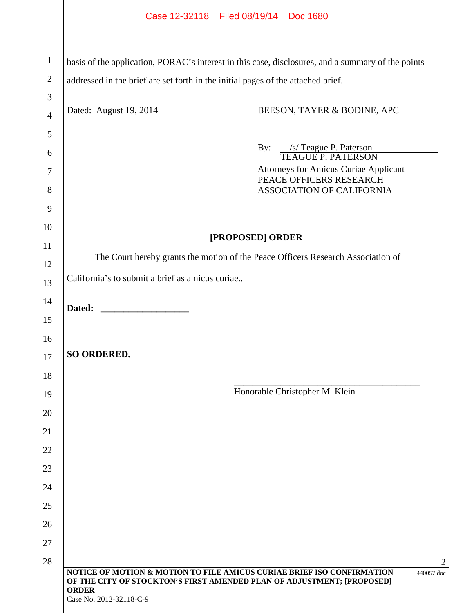|                     | Case 12-32118 Filed 08/19/14 Doc 1680                                                                             |
|---------------------|-------------------------------------------------------------------------------------------------------------------|
| $\mathbf{1}$        | basis of the application, PORAC's interest in this case, disclosures, and a summary of the points                 |
| $\overline{2}$      | addressed in the brief are set forth in the initial pages of the attached brief.                                  |
| 3<br>$\overline{4}$ | Dated: August 19, 2014<br>BEESON, TAYER & BODINE, APC                                                             |
| 5                   |                                                                                                                   |
| 6                   | /s/ Teague P. Paterson<br>By:<br><b>TEAGUE P. PATERSON</b>                                                        |
| 7                   | <b>Attorneys for Amicus Curiae Applicant</b>                                                                      |
| 8                   | PEACE OFFICERS RESEARCH<br>ASSOCIATION OF CALIFORNIA                                                              |
| 9                   |                                                                                                                   |
| 10                  |                                                                                                                   |
| 11                  | [PROPOSED] ORDER                                                                                                  |
| 12                  | The Court hereby grants the motion of the Peace Officers Research Association of                                  |
| 13                  | California's to submit a brief as amicus curiae                                                                   |
| 14                  | Dated:                                                                                                            |
| 15                  |                                                                                                                   |
| 16                  |                                                                                                                   |
| 17                  | <b>SO ORDERED.</b>                                                                                                |
| 18                  |                                                                                                                   |
| 19                  | Honorable Christopher M. Klein                                                                                    |
| 20                  |                                                                                                                   |
| 21                  |                                                                                                                   |
| 22                  |                                                                                                                   |
| 23                  |                                                                                                                   |
| 24                  |                                                                                                                   |
| 25                  |                                                                                                                   |
| 26<br>27            |                                                                                                                   |
| 28                  |                                                                                                                   |
|                     | NOTICE OF MOTION & MOTION TO FILE AMICUS CURIAE BRIEF ISO CONFIRMATION<br>440057.doc                              |
|                     | OF THE CITY OF STOCKTON'S FIRST AMENDED PLAN OF ADJUSTMENT; [PROPOSED]<br><b>ORDER</b><br>Case No. 2012-32118-C-9 |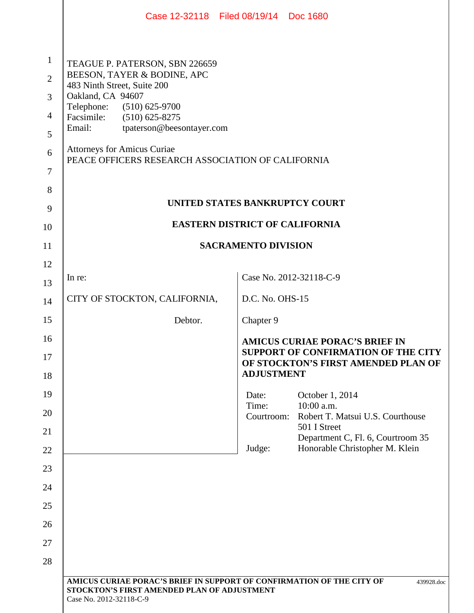|                                                                              |                                                                                                                                                                                                                                                                                                                         | Case 12-32118 Filed 08/19/14 Doc 1680                                                                               |
|------------------------------------------------------------------------------|-------------------------------------------------------------------------------------------------------------------------------------------------------------------------------------------------------------------------------------------------------------------------------------------------------------------------|---------------------------------------------------------------------------------------------------------------------|
| $\mathbf{1}$<br>$\overline{2}$<br>$\overline{3}$<br>$\overline{4}$<br>5<br>6 | TEAGUE P. PATERSON, SBN 226659<br>BEESON, TAYER & BODINE, APC<br>483 Ninth Street, Suite 200<br>Oakland, CA 94607<br>Telephone:<br>$(510)$ 625-9700<br>Facsimile:<br>$(510)$ 625-8275<br>Email:<br>tpaterson@beesontayer.com<br><b>Attorneys for Amicus Curiae</b><br>PEACE OFFICERS RESEARCH ASSOCIATION OF CALIFORNIA |                                                                                                                     |
| 7<br>8                                                                       |                                                                                                                                                                                                                                                                                                                         |                                                                                                                     |
| 9                                                                            |                                                                                                                                                                                                                                                                                                                         | UNITED STATES BANKRUPTCY COURT                                                                                      |
| 10                                                                           |                                                                                                                                                                                                                                                                                                                         | <b>EASTERN DISTRICT OF CALIFORNIA</b>                                                                               |
| 11                                                                           |                                                                                                                                                                                                                                                                                                                         | <b>SACRAMENTO DIVISION</b>                                                                                          |
| 12                                                                           |                                                                                                                                                                                                                                                                                                                         |                                                                                                                     |
| 13                                                                           | In re:                                                                                                                                                                                                                                                                                                                  | Case No. 2012-32118-C-9                                                                                             |
| 14                                                                           | CITY OF STOCKTON, CALIFORNIA,                                                                                                                                                                                                                                                                                           | D.C. No. OHS-15                                                                                                     |
| 15                                                                           | Debtor.                                                                                                                                                                                                                                                                                                                 | Chapter 9                                                                                                           |
| 16<br>17                                                                     |                                                                                                                                                                                                                                                                                                                         | <b>AMICUS CURIAE PORAC'S BRIEF IN</b><br>SUPPORT OF CONFIRMATION OF THE CITY<br>OF STOCKTON'S FIRST AMENDED PLAN OF |
| 18                                                                           |                                                                                                                                                                                                                                                                                                                         | <b>ADJUSTMENT</b>                                                                                                   |
| 19                                                                           |                                                                                                                                                                                                                                                                                                                         | October 1, 2014<br>Date:<br>Time:<br>$10:00$ a.m.                                                                   |
| 20<br>21                                                                     |                                                                                                                                                                                                                                                                                                                         | Robert T. Matsui U.S. Courthouse<br>Courtroom:<br>501 I Street                                                      |
| 22                                                                           |                                                                                                                                                                                                                                                                                                                         | Department C, Fl. 6, Courtroom 35<br>Honorable Christopher M. Klein<br>Judge:                                       |
| 23                                                                           |                                                                                                                                                                                                                                                                                                                         |                                                                                                                     |
| 24                                                                           |                                                                                                                                                                                                                                                                                                                         |                                                                                                                     |
| 25                                                                           |                                                                                                                                                                                                                                                                                                                         |                                                                                                                     |
| 26                                                                           |                                                                                                                                                                                                                                                                                                                         |                                                                                                                     |
| 27                                                                           |                                                                                                                                                                                                                                                                                                                         |                                                                                                                     |
| 28                                                                           |                                                                                                                                                                                                                                                                                                                         |                                                                                                                     |
|                                                                              | AMICUS CURIAE PORAC'S BRIEF IN SUPPORT OF CONFIRMATION OF THE CITY OF<br>STOCKTON'S FIRST AMENDED PLAN OF ADJUSTMENT<br>Case No. 2012-32118-C-9                                                                                                                                                                         | 439928.doc                                                                                                          |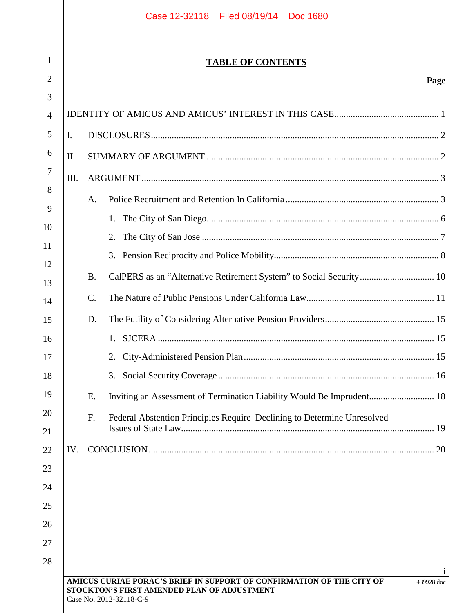|     |                 | <b>TABLE OF CONTENTS</b>                                                |      |
|-----|-----------------|-------------------------------------------------------------------------|------|
|     |                 |                                                                         | Page |
|     |                 |                                                                         |      |
|     |                 |                                                                         |      |
| I.  |                 |                                                                         |      |
| Π.  |                 |                                                                         |      |
| Ш.  |                 |                                                                         |      |
|     | A.              |                                                                         |      |
|     |                 | 1.                                                                      |      |
|     |                 | 2.                                                                      |      |
|     |                 | 3.                                                                      |      |
|     | <b>B.</b>       | CalPERS as an "Alternative Retirement System" to Social Security 10     |      |
|     | $\mathcal{C}$ . |                                                                         |      |
|     | D.              |                                                                         |      |
|     |                 |                                                                         |      |
|     |                 | 2.                                                                      |      |
|     |                 | 3.                                                                      |      |
|     | Ε.              | Inviting an Assessment of Termination Liability Would Be Imprudent 18   |      |
|     | F.              | Federal Abstention Principles Require Declining to Determine Unresolved |      |
|     |                 |                                                                         |      |
| IV. |                 |                                                                         |      |
|     |                 |                                                                         |      |
|     |                 |                                                                         |      |
|     |                 |                                                                         |      |
|     |                 |                                                                         |      |
|     |                 |                                                                         |      |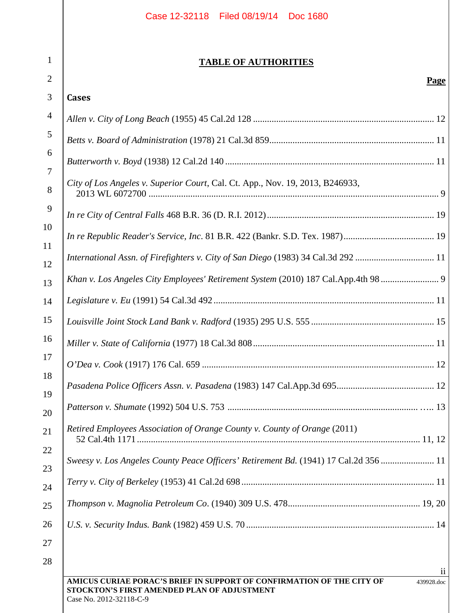|                | Case 12-32118 Filed 08/19/14 Doc 1680                                                |
|----------------|--------------------------------------------------------------------------------------|
|                |                                                                                      |
| $\mathbf{1}$   | <b>TABLE OF AUTHORITIES</b>                                                          |
| $\overline{2}$ | Page                                                                                 |
| 3              | <b>Cases</b>                                                                         |
| $\overline{4}$ |                                                                                      |
| 5              |                                                                                      |
| 6<br>7         |                                                                                      |
| 8              | City of Los Angeles v. Superior Court, Cal. Ct. App., Nov. 19, 2013, B246933,        |
| 9              |                                                                                      |
| 10<br>11       |                                                                                      |
| 12             | International Assn. of Firefighters v. City of San Diego (1983) 34 Cal.3d 292  11    |
|                | Khan v. Los Angeles City Employees' Retirement System (2010) 187 Cal.App.4th 98  9   |
| 13<br>14       |                                                                                      |
| 15             |                                                                                      |
| 16             |                                                                                      |
| 17             |                                                                                      |
| 18             |                                                                                      |
| 19             |                                                                                      |
| 20<br>21<br>22 | Retired Employees Association of Orange County v. County of Orange (2011)            |
| 23             | Sweesy v. Los Angeles County Peace Officers' Retirement Bd. (1941) 17 Cal.2d 356  11 |
| 24             |                                                                                      |
| 25             |                                                                                      |
| 26             |                                                                                      |
| 27             |                                                                                      |
| 28             |                                                                                      |

ii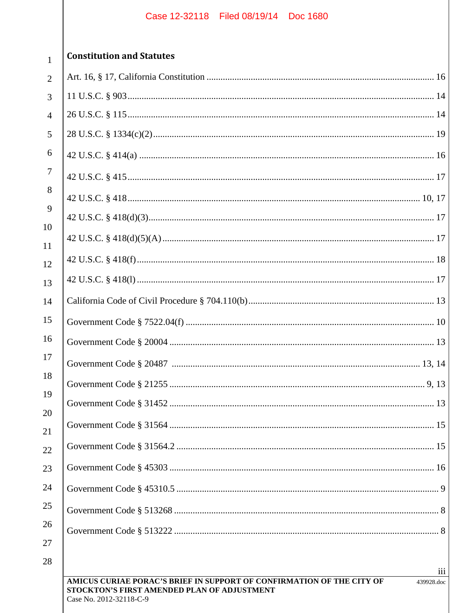| $\overline{2}$           |
|--------------------------|
| 3                        |
| $\overline{\mathcal{A}}$ |
| 5                        |
| 6                        |
| $\overline{7}$           |
| 8                        |
| 9                        |
| 10                       |
| 11                       |
| 12                       |
| 13                       |
| 14                       |
| 15                       |
| 16                       |
| 17                       |
| 18                       |
| 19                       |
| $\overline{20}$          |
| $\overline{21}$          |
| $^{22}$                  |
| 23                       |
| 4                        |
| 25                       |
| $_{26}$                  |
| $^{27}$                  |

 $\mathbf{1}$ 

# **Constitution and Statutes**

| $\overline{2}$ |     |
|----------------|-----|
| $\overline{3}$ |     |
| $\overline{4}$ |     |
| 5              |     |
| 6              |     |
| $\overline{7}$ |     |
| 8<br>9         |     |
|                |     |
| 10<br>11       |     |
| 12             |     |
| 13             |     |
| 14             |     |
| 15             |     |
| 16             |     |
| 17             |     |
| 18             |     |
| 19             |     |
| 20<br>21       |     |
| 22             |     |
| 23             |     |
| 24             |     |
| 25             |     |
| 26             |     |
| 27             |     |
| 28             | iii |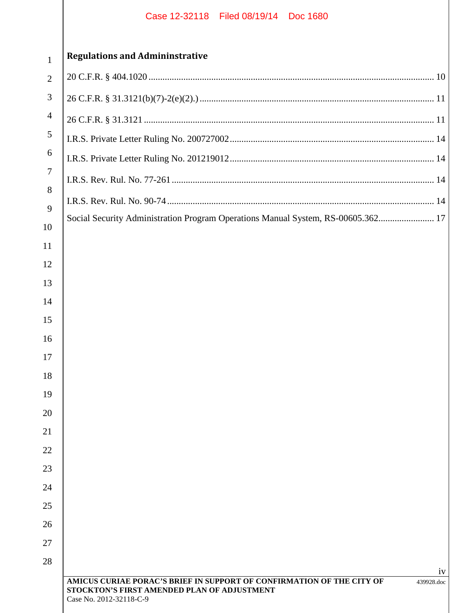| 1              |
|----------------|
| 2              |
| 3              |
| $\overline{4}$ |
|                |

# **Regulations and Admininstrative**

| Social Security Administration Program Operations Manual System, RS-00605.362 17                                                                              |
|---------------------------------------------------------------------------------------------------------------------------------------------------------------|
|                                                                                                                                                               |
|                                                                                                                                                               |
|                                                                                                                                                               |
|                                                                                                                                                               |
|                                                                                                                                                               |
|                                                                                                                                                               |
|                                                                                                                                                               |
|                                                                                                                                                               |
|                                                                                                                                                               |
|                                                                                                                                                               |
|                                                                                                                                                               |
|                                                                                                                                                               |
|                                                                                                                                                               |
|                                                                                                                                                               |
|                                                                                                                                                               |
|                                                                                                                                                               |
|                                                                                                                                                               |
| 1V                                                                                                                                                            |
| AMICUS CURIAE PORAC'S BRIEF IN SUPPORT OF CONFIRMATION OF THE CITY OF<br>439928.doc<br>STOCKTON'S FIRST AMENDED PLAN OF ADJUSTMENT<br>Case No. 2012-32118-C-9 |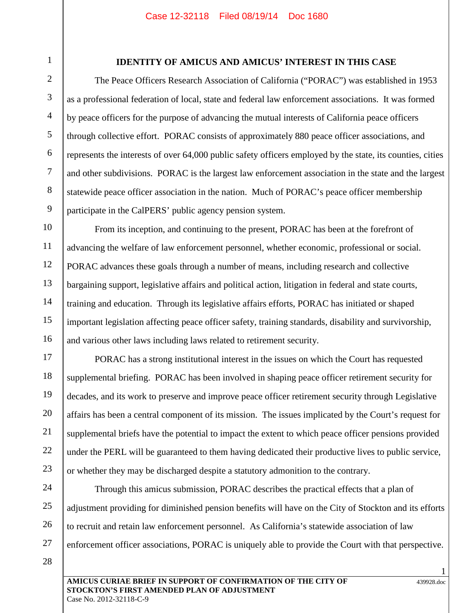1

2

3

4

5

6

8

9

13

14

15

16

# **IDENTITY OF AMICUS AND AMICUS' INTEREST IN THIS CASE**

The Peace Officers Research Association of California ("PORAC") was established in 1953 as a professional federation of local, state and federal law enforcement associations. It was formed by peace officers for the purpose of advancing the mutual interests of California peace officers through collective effort. PORAC consists of approximately 880 peace officer associations, and represents the interests of over 64,000 public safety officers employed by the state, its counties, cities and other subdivisions. PORAC is the largest law enforcement association in the state and the largest statewide peace officer association in the nation. Much of PORAC's peace officer membership participate in the CalPERS' public agency pension system.

From its inception, and continuing to the present, PORAC has been at the forefront of advancing the welfare of law enforcement personnel, whether economic, professional or social. PORAC advances these goals through a number of means, including research and collective bargaining support, legislative affairs and political action, litigation in federal and state courts, training and education. Through its legislative affairs efforts, PORAC has initiated or shaped important legislation affecting peace officer safety, training standards, disability and survivorship, and various other laws including laws related to retirement security.

17 18 19 20 22 23 PORAC has a strong institutional interest in the issues on which the Court has requested supplemental briefing. PORAC has been involved in shaping peace officer retirement security for decades, and its work to preserve and improve peace officer retirement security through Legislative affairs has been a central component of its mission. The issues implicated by the Court's request for supplemental briefs have the potential to impact the extent to which peace officer pensions provided under the PERL will be guaranteed to them having dedicated their productive lives to public service, or whether they may be discharged despite a statutory admonition to the contrary.

24 25 26

21

Through this amicus submission, PORAC describes the practical effects that a plan of adjustment providing for diminished pension benefits will have on the City of Stockton and its efforts to recruit and retain law enforcement personnel. As California's statewide association of law enforcement officer associations, PORAC is uniquely able to provide the Court with that perspective.

28

27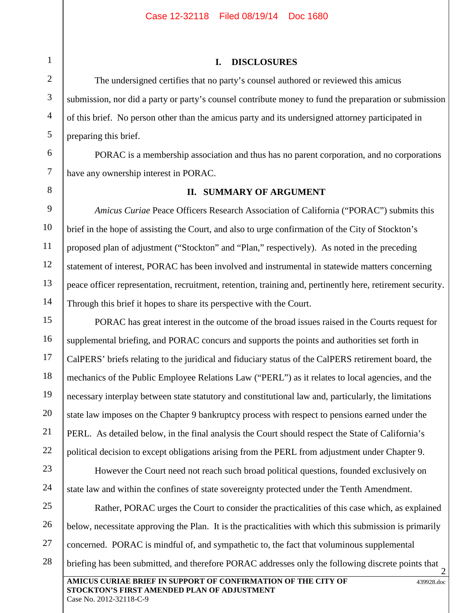# **I. DISCLOSURES**

The undersigned certifies that no party's counsel authored or reviewed this amicus submission, nor did a party or party's counsel contribute money to fund the preparation or submission of this brief. No person other than the amicus party and its undersigned attorney participated in preparing this brief.

PORAC is a membership association and thus has no parent corporation, and no corporations have any ownership interest in PORAC.

8

# **II. SUMMARY OF ARGUMENT**

*Amicus Curiae* Peace Officers Research Association of California ("PORAC") submits this brief in the hope of assisting the Court, and also to urge confirmation of the City of Stockton's proposed plan of adjustment ("Stockton" and "Plan," respectively). As noted in the preceding statement of interest, PORAC has been involved and instrumental in statewide matters concerning peace officer representation, recruitment, retention, training and, pertinently here, retirement security. Through this brief it hopes to share its perspective with the Court.

PORAC has great interest in the outcome of the broad issues raised in the Courts request for supplemental briefing, and PORAC concurs and supports the points and authorities set forth in CalPERS' briefs relating to the juridical and fiduciary status of the CalPERS retirement board, the mechanics of the Public Employee Relations Law ("PERL") as it relates to local agencies, and the necessary interplay between state statutory and constitutional law and, particularly, the limitations state law imposes on the Chapter 9 bankruptcy process with respect to pensions earned under the PERL. As detailed below, in the final analysis the Court should respect the State of California's political decision to except obligations arising from the PERL from adjustment under Chapter 9.

However the Court need not reach such broad political questions, founded exclusively on state law and within the confines of state sovereignty protected under the Tenth Amendment.

**AMICUS CURIAE BRIEF IN SUPPORT OF CONFIRMATION OF THE CITY OF STOCKTON'S FIRST AMENDED PLAN OF ADJUSTMENT** 439928.doc Case No. 2012-32118-C-9 2 27 28 Rather, PORAC urges the Court to consider the practicalities of this case which, as explained below, necessitate approving the Plan. It is the practicalities with which this submission is primarily concerned. PORAC is mindful of, and sympathetic to, the fact that voluminous supplemental briefing has been submitted, and therefore PORAC addresses only the following discrete points that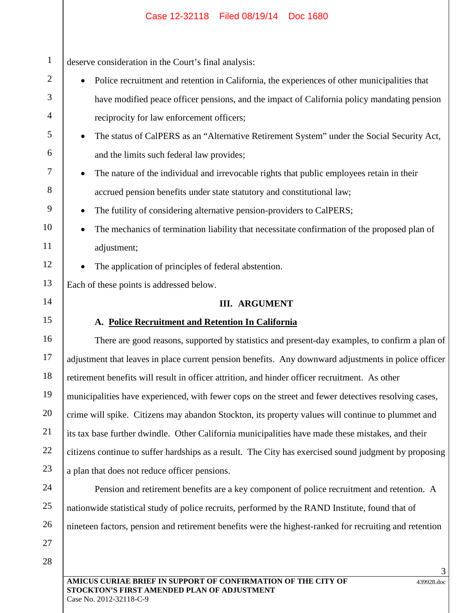| deserve consideration in the Court's final analysis:                                                                                                                                                                                                                                                                                                             |
|------------------------------------------------------------------------------------------------------------------------------------------------------------------------------------------------------------------------------------------------------------------------------------------------------------------------------------------------------------------|
| Police recruitment and retention in California, the experiences of other municipalities that                                                                                                                                                                                                                                                                     |
| have modified peace officer pensions, and the impact of California policy mandating pension                                                                                                                                                                                                                                                                      |
| reciprocity for law enforcement officers;                                                                                                                                                                                                                                                                                                                        |
| The status of CalPERS as an "Alternative Retirement System" under the Social Security Act,                                                                                                                                                                                                                                                                       |
| and the limits such federal law provides;                                                                                                                                                                                                                                                                                                                        |
| The nature of the individual and irrevocable rights that public employees retain in their                                                                                                                                                                                                                                                                        |
| accrued pension benefits under state statutory and constitutional law;                                                                                                                                                                                                                                                                                           |
| The futility of considering alternative pension-providers to CalPERS;                                                                                                                                                                                                                                                                                            |
| The mechanics of termination liability that necessitate confirmation of the proposed plan of                                                                                                                                                                                                                                                                     |
| adjustment;                                                                                                                                                                                                                                                                                                                                                      |
| The application of principles of federal abstention.                                                                                                                                                                                                                                                                                                             |
| Each of these points is addressed below.                                                                                                                                                                                                                                                                                                                         |
|                                                                                                                                                                                                                                                                                                                                                                  |
| <b>III. ARGUMENT</b>                                                                                                                                                                                                                                                                                                                                             |
| A. Police Recruitment and Retention In California                                                                                                                                                                                                                                                                                                                |
|                                                                                                                                                                                                                                                                                                                                                                  |
|                                                                                                                                                                                                                                                                                                                                                                  |
| retirement benefits will result in officer attrition, and hinder officer recruitment. As other                                                                                                                                                                                                                                                                   |
| municipalities have experienced, with fewer cops on the street and fewer detectives resolving cases,                                                                                                                                                                                                                                                             |
| crime will spike. Citizens may abandon Stockton, its property values will continue to plummet and                                                                                                                                                                                                                                                                |
| its tax base further dwindle. Other California municipalities have made these mistakes, and their                                                                                                                                                                                                                                                                |
|                                                                                                                                                                                                                                                                                                                                                                  |
| There are good reasons, supported by statistics and present-day examples, to confirm a plan of<br>adjustment that leaves in place current pension benefits. Any downward adjustments in police officer<br>citizens continue to suffer hardships as a result. The City has exercised sound judgment by proposing<br>a plan that does not reduce officer pensions. |
| Pension and retirement benefits are a key component of police recruitment and retention. A                                                                                                                                                                                                                                                                       |
| nationwide statistical study of police recruits, performed by the RAND Institute, found that of                                                                                                                                                                                                                                                                  |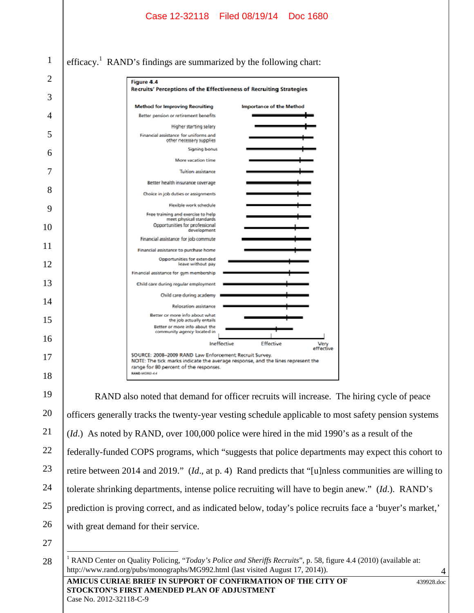|    |                                      | Case 12-32118 Filed 08/19/14 Doc 1680                                                                                                                                                                            |
|----|--------------------------------------|------------------------------------------------------------------------------------------------------------------------------------------------------------------------------------------------------------------|
|    |                                      |                                                                                                                                                                                                                  |
|    |                                      |                                                                                                                                                                                                                  |
| 1  |                                      | efficacy. <sup>1</sup> RAND's findings are summarized by the following chart:                                                                                                                                    |
| 2  |                                      | Figure 4.4                                                                                                                                                                                                       |
| 3  |                                      | Recruits' Perceptions of the Effectiveness of Recruiting Strategies                                                                                                                                              |
| 4  |                                      | <b>Method for Improving Recruiting</b><br><b>Importance of the Method</b><br>Better pension or retirement benefits                                                                                               |
|    |                                      | <b>Higher starting salary</b>                                                                                                                                                                                    |
| 5  |                                      | Financial assistance for uniforms and<br>other necessary supplies                                                                                                                                                |
| 6  |                                      | <b>Signing bonus</b>                                                                                                                                                                                             |
| 7  |                                      | More vacation time<br><b>Tuition assistance</b>                                                                                                                                                                  |
|    |                                      | Better health insurance coverage                                                                                                                                                                                 |
| 8  |                                      | Choice in job duties or assignments                                                                                                                                                                              |
| 9  |                                      | Flexible work schedule                                                                                                                                                                                           |
|    |                                      | Free training and exercise to help<br>meet physical standards                                                                                                                                                    |
| 10 |                                      | Opportunities for professional<br>development                                                                                                                                                                    |
| 11 |                                      | Financial assistance for job commute<br>Financial assistance to purchase home                                                                                                                                    |
| 12 |                                      | Opportunities for extended<br>leave without pay                                                                                                                                                                  |
|    |                                      | Financial assistance for gym membership                                                                                                                                                                          |
| 13 |                                      | Child care during regular employment                                                                                                                                                                             |
| 14 |                                      | Child care during academy                                                                                                                                                                                        |
|    |                                      | <b>Relocation assistance</b><br>Better or more info about what                                                                                                                                                   |
| 15 |                                      | the job actually entails<br>Better or more info-about the                                                                                                                                                        |
| 16 |                                      | community agency located in<br>Ineffective<br><b>Effective</b>                                                                                                                                                   |
|    |                                      | Very<br>effective<br>SOURCE: 2008-2009 RAND Law Enforcement Recruit Survey.                                                                                                                                      |
| 17 |                                      | NOTE: The tick. marks indicate the average response, and the lines represent the<br>range for 80 percent: of the responses.                                                                                      |
| 18 |                                      | <b>RAND MORRA 4.4</b>                                                                                                                                                                                            |
| 19 |                                      | RAND also noted that demand for officer recruits will increase. The hiring cycle of peace                                                                                                                        |
| 20 |                                      | officers generally tracks the twenty-year vesting schedule applicable to most safety pension systems                                                                                                             |
| 21 |                                      | ( <i>Id.</i> ) As noted by RAND, over 100,000 police were hired in the mid 1990's as a result of the                                                                                                             |
| 22 |                                      | federally-funded COPS programs, which "suggests that police departments may expect this cohort to                                                                                                                |
| 23 |                                      | retire between 2014 and 2019." ( <i>Id.</i> , at p. 4) Rand predicts that "[u]nless communities are willing to                                                                                                   |
| 24 |                                      | tolerate shrinking departments, intense police recruiting will have to begin anew." (Id.). RAND's                                                                                                                |
| 25 |                                      | prediction is proving correct, and as indicated below, today's police recruits face a 'buyer's market,'                                                                                                          |
| 26 | with great demand for their service. |                                                                                                                                                                                                                  |
| 27 |                                      |                                                                                                                                                                                                                  |
| 28 |                                      | <sup>1</sup> RAND Center on Quality Policing, "Today's Police and Sheriffs Recruits", p. 58, figure 4.4 (2010) (available at:<br>http://www.rand.org/pubs/monographs/MG992.html (last visited August 17, 2014)). |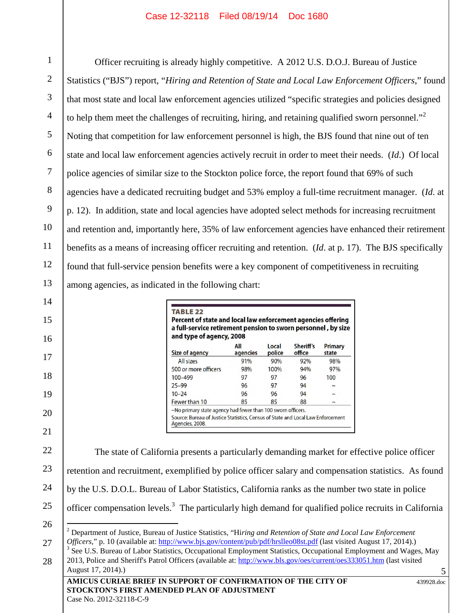1 2 3 4 5 6 7 8 9 10 11 12 13 Officer recruiting is already highly competitive. A 2012 U.S. D.O.J. Bureau of Justice Statistics ("BJS") report, "*Hiring and Retention of State and Local Law Enforcement Officers*," found that most state and local law enforcement agencies utilized "specific strategies and policies designed to help them meet the challenges of recruiting, hiring, and retaining qualified sworn personnel.<sup>32</sup> Noting that competition for law enforcement personnel is high, the BJS found that nine out of ten state and local law enforcement agencies actively recruit in order to meet their needs. (*Id*.) Of local police agencies of similar size to the Stockton police force, the report found that 69% of such agencies have a dedicated recruiting budget and 53% employ a full-time recruitment manager. (*Id*. at p. 12). In addition, state and local agencies have adopted select methods for increasing recruitment and retention and, importantly here, 35% of law enforcement agencies have enhanced their retirement benefits as a means of increasing officer recruiting and retention. (*Id*. at p. 17). The BJS specifically found that full-service pension benefits were a key component of competitiveness in recruiting among agencies, as indicated in the following chart:

| Size of agency       | All<br>agencies | Local<br>police | Sheriff's<br>office | Primary<br>state |
|----------------------|-----------------|-----------------|---------------------|------------------|
| All sizes            | 91%             | 90%             | 92%                 | 98%              |
| 500 or more officers | 98%             | 100%            | 94%                 | 97%              |
| 100-499              | 97              | 97              | 96                  | 100              |
| $25 - 99$            | 96              | 97              | 94                  | J                |
| $10 - 24$            | 96              | 96              | 94                  |                  |
| Fewer than 10        | 85              | 85              | 88                  |                  |

22 23 24 25 26 27 The state of California presents a particularly demanding market for effective police officer retention and recruitment, exemplified by police officer salary and compensation statistics. As found by the U.S. D.O.L. Bureau of Labor Statistics, California ranks as the number two state in police officer compensation levels.<sup>3</sup> The particularly high demand for qualified police recruits in California <sup>2</sup> Department of Justice, Bureau of Justice Statistics, "Hi*ring and Retention of State and Local Law Enforcement Officers*," p. 10 (available at: http://www.bjs.gov/content/pub/pdf/hrslleo08st.pdf (last visited August 17, 2014).) <sup>3</sup> See U.S. Bureau of Labor Statistics, Occupational Employment Statistics, Occupational Employment and Wages, May

**AMICUS CURIAE BRIEF IN SUPPORT OF CONFIRMATION OF THE CITY OF STOCKTON'S FIRST AMENDED PLAN OF ADJUSTMENT** 439928.doc 28 2013, Police and Sheriff's Patrol Officers (available at: http://www.bls.gov/oes/current/oes333051.htm (last visited August 17, 2014).)

14

15

16

17

18

19

20

21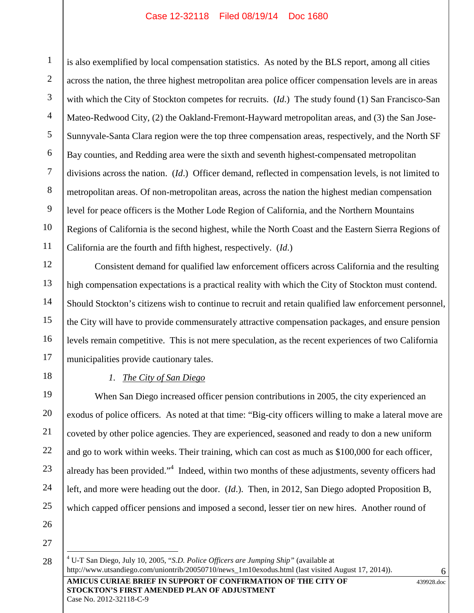1 2 3 4 5 6 7 8 9 10 11 is also exemplified by local compensation statistics. As noted by the BLS report, among all cities across the nation, the three highest metropolitan area police officer compensation levels are in areas with which the City of Stockton competes for recruits. (*Id*.) The study found (1) San Francisco-San Mateo-Redwood City, (2) the Oakland-Fremont-Hayward metropolitan areas, and (3) the San Jose-Sunnyvale-Santa Clara region were the top three compensation areas, respectively, and the North SF Bay counties, and Redding area were the sixth and seventh highest-compensated metropolitan divisions across the nation. (*Id*.) Officer demand, reflected in compensation levels, is not limited to metropolitan areas. Of non-metropolitan areas, across the nation the highest median compensation level for peace officers is the Mother Lode Region of California, and the Northern Mountains Regions of California is the second highest, while the North Coast and the Eastern Sierra Regions of California are the fourth and fifth highest, respectively. (*Id*.)

Consistent demand for qualified law enforcement officers across California and the resulting high compensation expectations is a practical reality with which the City of Stockton must contend. Should Stockton's citizens wish to continue to recruit and retain qualified law enforcement personnel, the City will have to provide commensurately attractive compensation packages, and ensure pension levels remain competitive. This is not mere speculation, as the recent experiences of two California municipalities provide cautionary tales.

18 19

20

21

22

23

24

25

12

13

14

15

16

17

# *1. The City of San Diego*

When San Diego increased officer pension contributions in 2005, the city experienced an exodus of police officers. As noted at that time: "Big-city officers willing to make a lateral move are coveted by other police agencies. They are experienced, seasoned and ready to don a new uniform and go to work within weeks. Their training, which can cost as much as \$100,000 for each officer, already has been provided."<sup>4</sup> Indeed, within two months of these adjustments, seventy officers had left, and more were heading out the door. (*Id*.). Then, in 2012, San Diego adopted Proposition B, which capped officer pensions and imposed a second, lesser tier on new hires. Another round of

26

27 28

**AMICUS CURIAE BRIEF IN SUPPORT OF CONFIRMATION OF THE CITY OF STOCKTON'S FIRST AMENDED PLAN OF ADJUSTMENT** <sup>4</sup> U-T San Diego, July 10, 2005, "*S.D. Police Officers are Jumping Ship"* (available at http://www.utsandiego.com/uniontrib/20050710/news\_1m10exodus.html (last visited August 17, 2014)).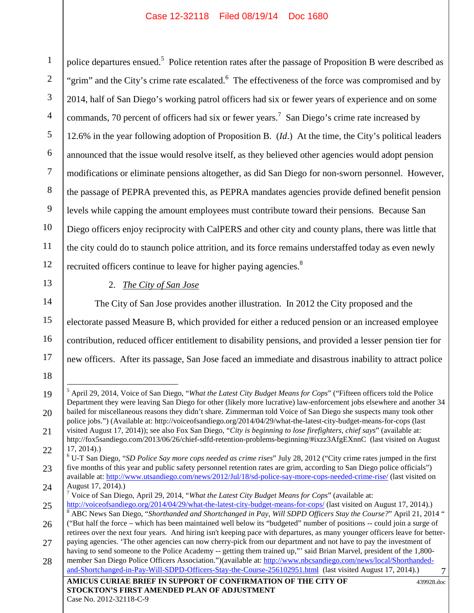1 2 3 4 5 6 7 8 9 10 11 12 police departures ensued.<sup>5</sup> Police retention rates after the passage of Proposition B were described as  $\vert$ "grim" and the City's crime rate escalated.<sup>6</sup> The effectiveness of the force was compromised and by 2014, half of San Diego's working patrol officers had six or fewer years of experience and on some commands, 70 percent of officers had six or fewer years.<sup>7</sup> San Diego's crime rate increased by 12.6% in the year following adoption of Proposition B. (*Id*.) At the time, the City's political leaders announced that the issue would resolve itself, as they believed other agencies would adopt pension modifications or eliminate pensions altogether, as did San Diego for non-sworn personnel. However, the passage of PEPRA prevented this, as PEPRA mandates agencies provide defined benefit pension levels while capping the amount employees must contribute toward their pensions. Because San Diego officers enjoy reciprocity with CalPERS and other city and county plans, there was little that the city could do to staunch police attrition, and its force remains understaffed today as even newly recruited officers continue to leave for higher paying agencies.<sup>8</sup>

13

18

2. *The City of San Jose*

14 15 16 17 The City of San Jose provides another illustration. In 2012 the City proposed and the electorate passed Measure B, which provided for either a reduced pension or an increased employee contribution, reduced officer entitlement to disability pensions, and provided a lesser pension tier for new officers. After its passage, San Jose faced an immediate and disastrous inability to attract police

<sup>19</sup> 20 <sup>5</sup> April 29, 2014, Voice of San Diego, "*What the Latest City Budget Means for Cops*" ("Fifteen officers told the Police Department they were leaving San Diego for other (likely more lucrative) law-enforcement jobs elsewhere and another 34 bailed for miscellaneous reasons they didn't share. Zimmerman told Voice of San Diego she suspects many took other police jobs.") (Available at: http://voiceofsandiego.org/2014/04/29/what-the-latest-city-budget-means-for-cops (last

<sup>21</sup> 22 visited August 17, 2014)); see also Fox San Diego, "*City is beginning to lose firefighters, chief says*" (available at: http://fox5sandiego.com/2013/06/26/chief-sdfd-retention-problems-beginning/#ixzz3AfgEXnnC (last visited on August 17, 2014).)

<sup>23</sup> 24 <sup>6</sup> U-T San Diego, "*SD Police Say more cops needed as crime rises*" July 28, 2012 ("City crime rates jumped in the first five months of this year and public safety personnel retention rates are grim, according to San Diego police officials") available at: http://www.utsandiego.com/news/2012/Jul/18/sd-police-say-more-cops-needed-crime-rise/ (last visited on August 17, 2014).)

<sup>7</sup> Voice of San Diego, April 29, 2014, "*What the Latest City Budget Means for Cops*" (available at:

<sup>25</sup> 26 27 http://voiceofsandiego.org/2014/04/29/what-the-latest-city-budget-means-for-cops/ (last visited on August 17, 2014).) <sup>8</sup> ABC News San Diego, "*Shorthanded and Shortchanged in Pay, Will SDPD Officers Stay the Course?*" April 21, 2014 " ("But half the force – which has been maintained well below its "budgeted" number of positions -- could join a surge of retirees over the next four years. And hiring isn't keeping pace with departures, as many younger officers leave for betterpaying agencies. 'The other agencies can now cherry-pick from our department and not have to pay the investment of having to send someone to the Police Academy -- getting them trained up,"' said Brian Marvel, president of the 1,800-

**AMICUS CURIAE BRIEF IN SUPPORT OF CONFIRMATION OF THE CITY OF** 28 member San Diego Police Officers Association.")(available at: http://www.nbcsandiego.com/news/local/Shorthandedand-Shortchanged-in-Pay-Will-SDPD-Officers-Stay-the-Course-256102951.html (last visited August 17, 2014).)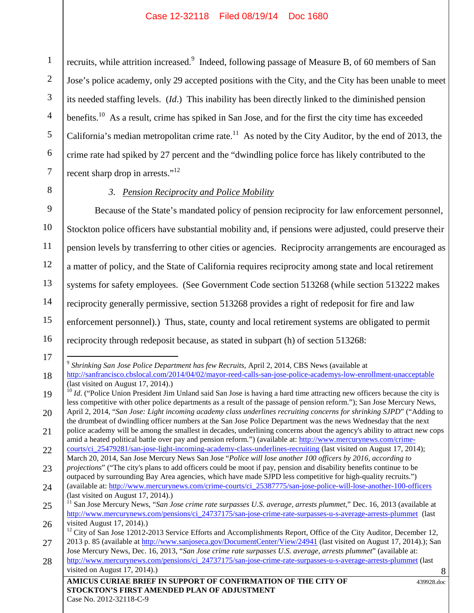1 2 3 4 5 6 7 recruits, while attrition increased.<sup>9</sup> Indeed, following passage of Measure B, of 60 members of San Jose's police academy, only 29 accepted positions with the City, and the City has been unable to meet its needed staffing levels. (*Id*.) This inability has been directly linked to the diminished pension benefits.<sup>10</sup> As a result, crime has spiked in San Jose, and for the first the city time has exceeded California's median metropolitan crime rate.<sup>11</sup> As noted by the City Auditor, by the end of 2013, the crime rate had spiked by 27 percent and the "dwindling police force has likely contributed to the recent sharp drop in arrests."<sup>12</sup>

8 9

# *3. Pension Reciprocity and Police Mobility*

10 11 12 13 14 15 16 Because of the State's mandated policy of pension reciprocity for law enforcement personnel, Stockton police officers have substantial mobility and, if pensions were adjusted, could preserve their pension levels by transferring to other cities or agencies. Reciprocity arrangements are encouraged as a matter of policy, and the State of California requires reciprocity among state and local retirement systems for safety employees. (See Government Code section 513268 (while section 513222 makes reciprocity generally permissive, section 513268 provides a right of redeposit for fire and law enforcement personnel).) Thus, state, county and local retirement systems are obligated to permit reciprocity through redeposit because, as stated in subpart (h) of section 513268:

17 18 9 *Shrinking San Jose Police Department has few Recruits*, April 2, 2014, CBS News (available at http://sanfrancisco.cbslocal.com/2014/04/02/mayor-reed-calls-san-jose-police-academys-low-enrollment-unacceptable (last visited on August 17, 2014).)

<sup>19</sup> 20 <sup>10</sup> *Id.* ("Police Union President Jim Unland said San Jose is having a hard time attracting new officers because the city is less competitive with other police departments as a result of the passage of pension reform."); San Jose Mercury News, April 2, 2014, "*San Jose: Light incoming academy class underlines recruiting concerns for shrinking SJPD*" ("Adding to

<sup>21</sup> the drumbeat of dwindling officer numbers at the San Jose Police Department was the news Wednesday that the next police academy will be among the smallest in decades, underlining concerns about the agency's ability to attract new cops

<sup>22</sup> amid a heated political battle over pay and pension reform.") (available at: http://www.mercurynews.com/crimecourts/ci\_25479281/san-jose-light-incoming-academy-class-underlines-recruiting (last visited on August 17, 2014);

<sup>23</sup> March 20, 2014, San Jose Mercury News San Jose "*Police will lose another 100 officers by 2016, according to projections*" ("The city's plans to add officers could be moot if pay, pension and disability benefits continue to be outpaced by surrounding Bay Area agencies, which have made SJPD less competitive for high-quality recruits.")

<sup>24</sup> (available at: http://www.mercurynews.com/crime-courts/ci\_25387775/san-jose-police-will-lose-another-100-officers (last visited on August 17, 2014).)

<sup>25</sup> 26 <sup>11</sup> San Jose Mercury News, "*San Jose crime rate surpasses U.S. average, arrests plummet*," Dec. 16, 2013 (available at http://www.mercurynews.com/pensions/ci\_24737175/san-jose-crime-rate-surpasses-u-s-average-arrests-plummet (last visited August 17, 2014).)

<sup>27</sup> <sup>12</sup> City of San Jose 12012-2013 Service Efforts and Accomplishments Report, Office of the City Auditor, December 12, 2013 p. 85 (available at http://www.sanjoseca.gov/DocumentCenter/View/24941 (last visited on August 17, 2014).); San

<sup>28</sup> Jose Mercury News, Dec. 16, 2013, "*San Jose crime rate surpasses U.S. average, arrests plummet*" (available at: http://www.mercurynews.com/pensions/ci\_24737175/san-jose-crime-rate-surpasses-u-s-average-arrests-plummet (last

visited on August 17, 2014).)

**AMICUS CURIAE BRIEF IN SUPPORT OF CONFIRMATION OF THE CITY OF STOCKTON'S FIRST AMENDED PLAN OF ADJUSTMENT**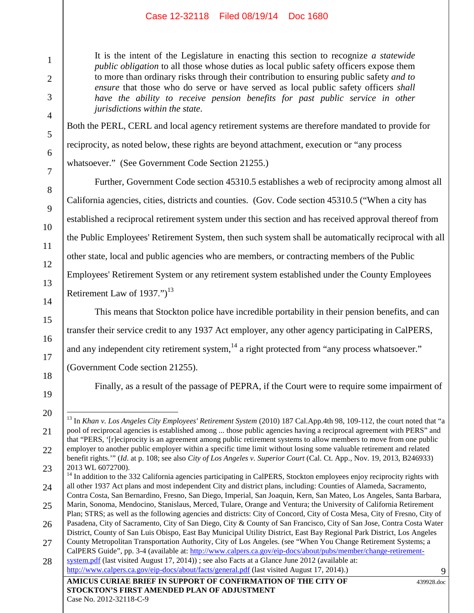It is the intent of the Legislature in enacting this section to recognize *a statewide public obligation* to all those whose duties as local public safety officers expose them to more than ordinary risks through their contribution to ensuring public safety *and to ensure* that those who do serve or have served as local public safety officers *shall have the ability to receive pension benefits for past public service in other jurisdictions within the state*.

Both the PERL, CERL and local agency retirement systems are therefore mandated to provide for reciprocity, as noted below, these rights are beyond attachment, execution or "any process whatsoever." (See Government Code Section 21255.)

Further, Government Code section 45310.5 establishes a web of reciprocity among almost all California agencies, cities, districts and counties. (Gov. Code section 45310.5 ("When a city has established a reciprocal retirement system under this section and has received approval thereof from the Public Employees' Retirement System, then such system shall be automatically reciprocal with all other state, local and public agencies who are members, or contracting members of the Public Employees' Retirement System or any retirement system established under the County Employees Retirement Law of  $1937."$ <sup>13</sup>

This means that Stockton police have incredible portability in their pension benefits, and can transfer their service credit to any 1937 Act employer, any other agency participating in CalPERS, and any independent city retirement system,<sup>14</sup> a right protected from "any process whatsoever."

(Government Code section 21255).

Finally, as a result of the passage of PEPRA, if the Court were to require some impairment of

21

22

1

2

3

4

5

6

7

8

9

10

11

12

13

14

15

16

17

18

<sup>19</sup> 20

<sup>13</sup> In *Khan v. Los Angeles City Employees' Retirement System* (2010) 187 Cal.App.4th 98, 109-112, the court noted that "a pool of reciprocal agencies is established among ... those public agencies having a reciprocal agreement with PERS" and that "PERS, '[r]eciprocity is an agreement among public retirement systems to allow members to move from one public employer to another public employer within a specific time limit without losing some valuable retirement and related benefit rights.'" (*Id*. at p. 108; see also *City of Los Angeles v. Superior Court* (Cal. Ct. App., Nov. 19, 2013, B246933) 2013 WL 6072700).

<sup>23</sup> 24 <sup>14</sup> In addition to the 332 California agencies participating in CalPERS, Stockton employees enjoy reciprocity rights with all other 1937 Act plans and most independent City and district plans, including: Counties of Alameda, Sacramento,

<sup>25</sup> Contra Costa, San Bernardino, Fresno, San Diego, Imperial, San Joaquin, Kern, San Mateo, Los Angeles, Santa Barbara, Marin, Sonoma, Mendocino, Stanislaus, Merced, Tulare, Orange and Ventura; the University of California Retirement Plan; STRS; as well as the following agencies and districts: City of Concord, City of Costa Mesa, City of Fresno, City of

<sup>26</sup> Pasadena, City of Sacramento, City of San Diego, City & County of San Francisco, City of San Jose, Contra Costa Water District, County of San Luis Obispo, East Bay Municipal Utility District, East Bay Regional Park District, Los Angeles

<sup>27</sup> County Metropolitan Transportation Authority, City of Los Angeles. (see "When You Change Retirement Systems; a CalPERS Guide", pp. 3-4 (available at: http://www.calpers.ca.gov/eip-docs/about/pubs/member/change-retirement-

**AMICUS CURIAE BRIEF IN SUPPORT OF CONFIRMATION OF THE CITY OF** 28 system.pdf (last visited August 17, 2014)) ; see also Facts at a Glance June 2012 (available at: http://www.calpers.ca.gov/eip-docs/about/facts/general.pdf (last visited August 17, 2014).)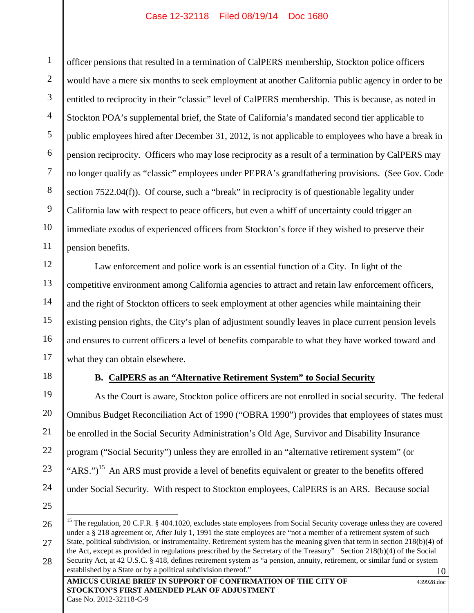1 2 3 4 5 6 7 8 9 10 11 officer pensions that resulted in a termination of CalPERS membership, Stockton police officers would have a mere six months to seek employment at another California public agency in order to be entitled to reciprocity in their "classic" level of CalPERS membership. This is because, as noted in Stockton POA's supplemental brief, the State of California's mandated second tier applicable to public employees hired after December 31, 2012, is not applicable to employees who have a break in pension reciprocity. Officers who may lose reciprocity as a result of a termination by CalPERS may no longer qualify as "classic" employees under PEPRA's grandfathering provisions. (See Gov. Code section 7522.04(f)). Of course, such a "break" in reciprocity is of questionable legality under California law with respect to peace officers, but even a whiff of uncertainty could trigger an immediate exodus of experienced officers from Stockton's force if they wished to preserve their pension benefits.

Law enforcement and police work is an essential function of a City. In light of the competitive environment among California agencies to attract and retain law enforcement officers, and the right of Stockton officers to seek employment at other agencies while maintaining their existing pension rights, the City's plan of adjustment soundly leaves in place current pension levels and ensures to current officers a level of benefits comparable to what they have worked toward and what they can obtain elsewhere.

18

12

13

14

15

16

17

19

20

21

22

23

24

# **B. CalPERS as an "Alternative Retirement System" to Social Security**

As the Court is aware, Stockton police officers are not enrolled in social security. The federal Omnibus Budget Reconciliation Act of 1990 ("OBRA 1990") provides that employees of states must be enrolled in the Social Security Administration's Old Age, Survivor and Disability Insurance program ("Social Security") unless they are enrolled in an "alternative retirement system" (or "ARS.")<sup>15</sup> An ARS must provide a level of benefits equivalent or greater to the benefits offered under Social Security. With respect to Stockton employees, CalPERS is an ARS. Because social

27

<sup>25</sup> 26

<sup>10</sup> <sup>15</sup> The regulation, 20 C.F.R. § 404.1020, excludes state employees from Social Security coverage unless they are covered under a § 218 agreement or, After July 1, 1991 the state employees are "not a member of a retirement system of such State, political subdivision, or instrumentality. Retirement system has the meaning given that term in section 218(b)(4) of the Act, except as provided in regulations prescribed by the Secretary of the Treasury" Section 218(b)(4) of the Social Security Act, at 42 U.S.C. § 418, defines retirement system as "a pension, annuity, retirement, or similar fund or system established by a State or by a political subdivision thereof."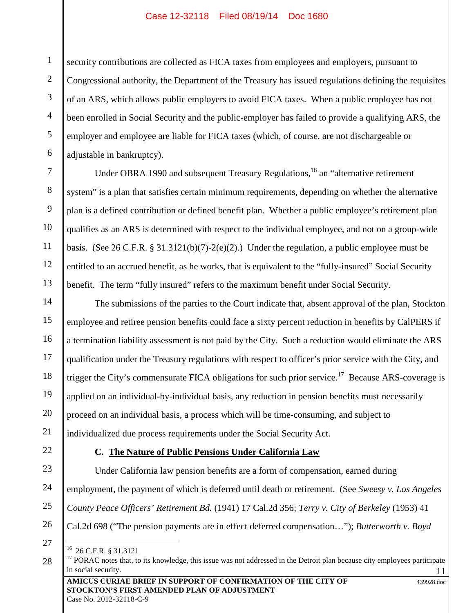2 3 4 5 6 security contributions are collected as FICA taxes from employees and employers, pursuant to Congressional authority, the Department of the Treasury has issued regulations defining the requisites of an ARS, which allows public employers to avoid FICA taxes. When a public employee has not been enrolled in Social Security and the public-employer has failed to provide a qualifying ARS, the employer and employee are liable for FICA taxes (which, of course, are not dischargeable or adjustable in bankruptcy).

Under OBRA 1990 and subsequent Treasury Regulations,  $^{16}$  an "alternative retirement" system" is a plan that satisfies certain minimum requirements, depending on whether the alternative plan is a defined contribution or defined benefit plan. Whether a public employee's retirement plan qualifies as an ARS is determined with respect to the individual employee, and not on a group-wide basis. (See 26 C.F.R. § 31.3121(b)(7)-2(e)(2).) Under the regulation, a public employee must be entitled to an accrued benefit, as he works, that is equivalent to the "fully-insured" Social Security benefit. The term "fully insured" refers to the maximum benefit under Social Security.

14 15 16 17 18 19 20 The submissions of the parties to the Court indicate that, absent approval of the plan, Stockton employee and retiree pension benefits could face a sixty percent reduction in benefits by CalPERS if a termination liability assessment is not paid by the City. Such a reduction would eliminate the ARS qualification under the Treasury regulations with respect to officer's prior service with the City, and trigger the City's commensurate FICA obligations for such prior service.<sup>17</sup> Because ARS-coverage is applied on an individual-by-individual basis, any reduction in pension benefits must necessarily proceed on an individual basis, a process which will be time-consuming, and subject to individualized due process requirements under the Social Security Act.

22

21

1

7

8

9

10

11

12

13

# **C. The Nature of Public Pensions Under California Law**

23 24 25 Under California law pension benefits are a form of compensation, earned during employment, the payment of which is deferred until death or retirement. (See *Sweesy v. Los Angeles County Peace Officers' Retirement Bd.* (1941) 17 Cal.2d 356; *Terry v. City of Berkeley* (1953) 41

Cal.2d 698 ("The pension payments are in effect deferred compensation…"); *Butterworth v. Boyd*

26 27

<sup>16</sup> 26 C.F.R. § 31.3121

<sup>11</sup> <sup>17</sup> PORAC notes that, to its knowledge, this issue was not addressed in the Detroit plan because city employees participate in social security.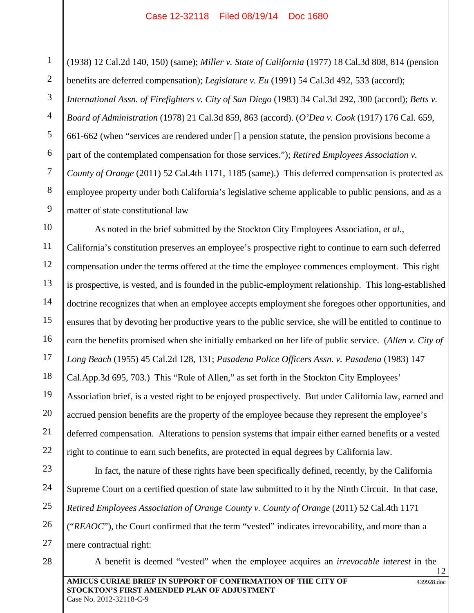1 2 3 4 5 6 7 8 9 (1938) 12 Cal.2d 140, 150) (same); *Miller v. State of California* (1977) 18 Cal.3d 808, 814 (pension benefits are deferred compensation); *Legislature v. Eu* (1991) 54 Cal.3d 492, 533 (accord); *International Assn. of Firefighters v. City of San Diego* (1983) 34 Cal.3d 292, 300 (accord); *Betts v. Board of Administration* (1978) 21 Cal.3d 859, 863 (accord). (*O'Dea v. Cook* (1917) 176 Cal. 659, 661-662 (when "services are rendered under [] a pension statute, the pension provisions become a part of the contemplated compensation for those services."); *Retired Employees Association v. County of Orange* (2011) 52 Cal.4th 1171, 1185 (same).) This deferred compensation is protected as employee property under both California's legislative scheme applicable to public pensions, and as a matter of state constitutional law

10 11 12 13 14 15 16 17 18 19 20 21 22 As noted in the brief submitted by the Stockton City Employees Association, *et al*., California's constitution preserves an employee's prospective right to continue to earn such deferred compensation under the terms offered at the time the employee commences employment. This right is prospective, is vested, and is founded in the public-employment relationship. This long-established doctrine recognizes that when an employee accepts employment she foregoes other opportunities, and ensures that by devoting her productive years to the public service, she will be entitled to continue to earn the benefits promised when she initially embarked on her life of public service. (*Allen v. City of Long Beach* (1955) 45 Cal.2d 128, 131; *Pasadena Police Officers Assn. v. Pasadena* (1983) 147 Cal.App.3d 695, 703.) This "Rule of Allen," as set forth in the Stockton City Employees' Association brief, is a vested right to be enjoyed prospectively. But under California law, earned and accrued pension benefits are the property of the employee because they represent the employee's deferred compensation. Alterations to pension systems that impair either earned benefits or a vested right to continue to earn such benefits, are protected in equal degrees by California law.

23 24 25 26 27 In fact, the nature of these rights have been specifically defined, recently, by the California Supreme Court on a certified question of state law submitted to it by the Ninth Circuit. In that case, *Retired Employees Association of Orange County v. County of Orange* (2011) 52 Cal.4th 1171 ("*REAOC*"), the Court confirmed that the term "vested" indicates irrevocability, and more than a mere contractual right:

A benefit is deemed "vested" when the employee acquires an *irrevocable interest* in the

28

**AMICUS CURIAE BRIEF IN SUPPORT OF CONFIRMATION OF THE CITY OF STOCKTON'S FIRST AMENDED PLAN OF ADJUSTMENT** Case No. 2012-32118-C-9

439928.doc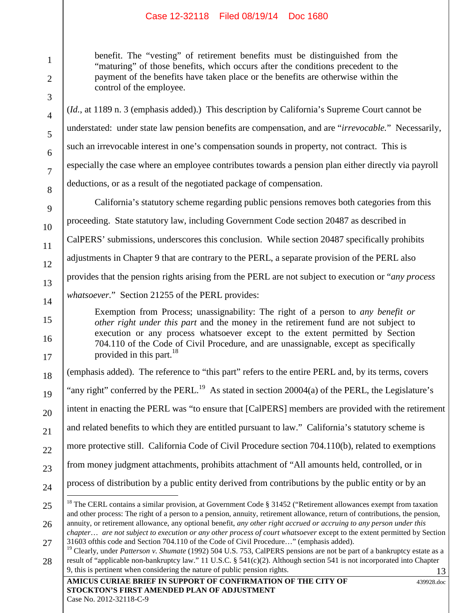benefit. The "vesting" of retirement benefits must be distinguished from the "maturing" of those benefits, which occurs after the conditions precedent to the payment of the benefits have taken place or the benefits are otherwise within the control of the employee.

(*Id.*, at 1189 n. 3 (emphasis added).) This description by California's Supreme Court cannot be understated: under state law pension benefits are compensation, and are "*irrevocable.*" Necessarily, such an irrevocable interest in one's compensation sounds in property, not contract. This is especially the case where an employee contributes towards a pension plan either directly via payroll deductions, or as a result of the negotiated package of compensation.

California's statutory scheme regarding public pensions removes both categories from this proceeding. State statutory law, including Government Code section 20487 as described in CalPERS' submissions, underscores this conclusion. While section 20487 specifically prohibits adjustments in Chapter 9 that are contrary to the PERL, a separate provision of the PERL also provides that the pension rights arising from the PERL are not subject to execution or "*any process whatsoever.*" Section 21255 of the PERL provides:

Exemption from Process; unassignability: The right of a person to *any benefit or other right under this part* and the money in the retirement fund are not subject to execution or any process whatsoever except to the extent permitted by Section 704.110 of the Code of Civil Procedure, and are unassignable, except as specifically provided in this part. $18$ 

(emphasis added). The reference to "this part" refers to the entire PERL and, by its terms, covers

"any right" conferred by the PERL.<sup>19</sup> As stated in section 20004(a) of the PERL, the Legislature's

intent in enacting the PERL was "to ensure that [CalPERS] members are provided with the retirement

and related benefits to which they are entitled pursuant to law." California's statutory scheme is

more protective still. California Code of Civil Procedure section 704.110(b), related to exemptions

from money judgment attachments, prohibits attachment of "All amounts held, controlled, or in

process of distribution by a public entity derived from contributions by the public entity or by an

439928.doc

1

2

<sup>&</sup>lt;sup>18</sup> The CERL contains a similar provision, at Government Code § 31452 ("Retirement allowances exempt from taxation and other process: The right of a person to a pension, annuity, retirement allowance, return of contributions, the pension, annuity, or retirement allowance, any optional benefit, *any other right accrued or accruing to any person under this*

<sup>27</sup> *chapter*… *are not subject to execution or any other process of court whatsoever* except to the extent permitted by Section 31603 ofthis code and Section 704.110 of the Code of Civil Procedure…" (emphasis added).

<sup>13</sup> 28 <sup>19</sup> Clearly, under *Patterson v. Shumate* (1992) 504 U.S. 753, CalPERS pensions are not be part of a bankruptcy estate as a result of "applicable non-bankruptcy law." 11 U.S.C. § 541(c)(2). Although section 541 is not incorporated into Chapter 9, this is pertinent when considering the nature of public pension rights.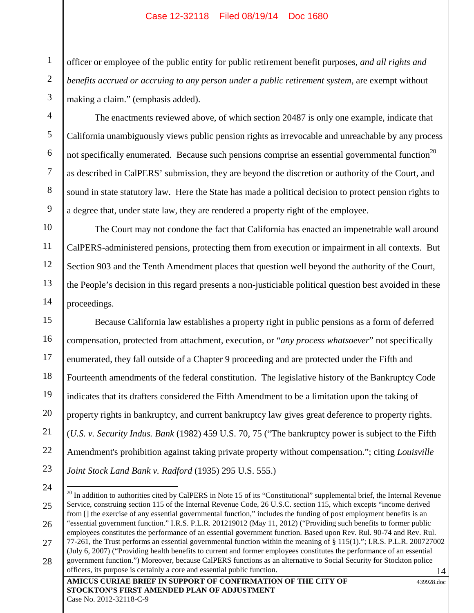1

2

3

4

5

6

7

8

9

10

11

12

13

14

officer or employee of the public entity for public retirement benefit purposes, *and all rights and benefits accrued or accruing to any person under a public retirement system*, are exempt without making a claim." (emphasis added).

The enactments reviewed above, of which section 20487 is only one example, indicate that California unambiguously views public pension rights as irrevocable and unreachable by any process not specifically enumerated. Because such pensions comprise an essential governmental function<sup>20</sup> as described in CalPERS' submission, they are beyond the discretion or authority of the Court, and sound in state statutory law. Here the State has made a political decision to protect pension rights to a degree that, under state law, they are rendered a property right of the employee.

The Court may not condone the fact that California has enacted an impenetrable wall around CalPERS-administered pensions, protecting them from execution or impairment in all contexts. But Section 903 and the Tenth Amendment places that question well beyond the authority of the Court, the People's decision in this regard presents a non-justiciable political question best avoided in these proceedings.

15 16 17 18 19 20 21 22 23 Because California law establishes a property right in public pensions as a form of deferred compensation, protected from attachment, execution, or "*any process whatsoever*" not specifically enumerated, they fall outside of a Chapter 9 proceeding and are protected under the Fifth and Fourteenth amendments of the federal constitution. The legislative history of the Bankruptcy Code indicates that its drafters considered the Fifth Amendment to be a limitation upon the taking of property rights in bankruptcy, and current bankruptcy law gives great deference to property rights. (*U.S. v. Security Indus. Bank* (1982) 459 U.S. 70, 75 ("The bankruptcy power is subject to the Fifth Amendment's prohibition against taking private property without compensation."; citing *Louisville Joint Stock Land Bank v. Radford* (1935) 295 U.S. 555.)

<sup>14</sup> 24 25 26 27 28  $^{20}$  In addition to authorities cited by CalPERS in Note 15 of its "Constitutional" supplemental brief, the Internal Revenue Service, construing section 115 of the Internal Revenue Code, 26 U.S.C. section 115, which excepts "income derived from [] the exercise of any essential governmental function," includes the funding of post employment benefits is an "essential government function." I.R.S. P.L.R. 201219012 (May 11, 2012) ("Providing such benefits to former public employees constitutes the performance of an essential government function. Based upon Rev. Rul. 90-74 and Rev. Rul. 77-261, the Trust performs an essential governmental function within the meaning of § 115(1)."; I.R.S. P.L.R. 200727002 (July 6, 2007) ("Providing health benefits to current and former employees constitutes the performance of an essential government function.") Moreover, because CalPERS functions as an alternative to Social Security for Stockton police officers, its purpose is certainly a core and essential public function.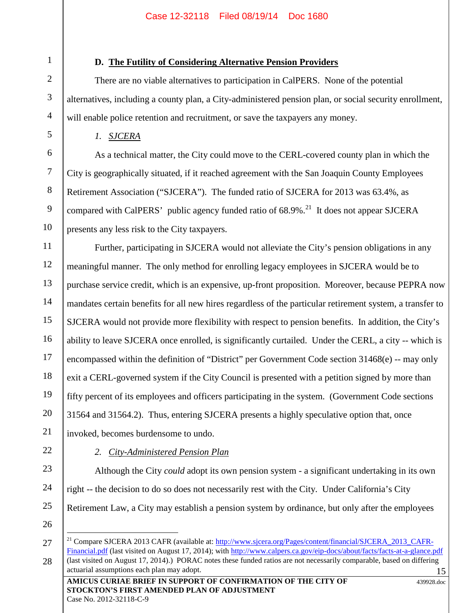# **D. The Futility of Considering Alternative Pension Providers**

There are no viable alternatives to participation in CalPERS. None of the potential alternatives, including a county plan, a City-administered pension plan, or social security enrollment, will enable police retention and recruitment, or save the taxpayers any money.

*1. SJCERA*

As a technical matter, the City could move to the CERL-covered county plan in which the City is geographically situated, if it reached agreement with the San Joaquin County Employees Retirement Association ("SJCERA"). The funded ratio of SJCERA for 2013 was 63.4%, as compared with CalPERS' public agency funded ratio of  $68.9\%$ <sup>21</sup>. It does not appear SJCERA presents any less risk to the City taxpayers.

11 12 13 14 15 16 17 18 19 20 21 Further, participating in SJCERA would not alleviate the City's pension obligations in any meaningful manner. The only method for enrolling legacy employees in SJCERA would be to purchase service credit, which is an expensive, up-front proposition. Moreover, because PEPRA now mandates certain benefits for all new hires regardless of the particular retirement system, a transfer to SJCERA would not provide more flexibility with respect to pension benefits. In addition, the City's ability to leave SJCERA once enrolled, is significantly curtailed. Under the CERL, a city -- which is encompassed within the definition of "District" per Government Code section 31468(e) -- may only exit a CERL-governed system if the City Council is presented with a petition signed by more than fifty percent of its employees and officers participating in the system. (Government Code sections 31564 and 31564.2). Thus, entering SJCERA presents a highly speculative option that, once invoked, becomes burdensome to undo.

# 22

23

24

1

2

3

4

5

6

7

8

9

10

*2. City-Administered Pension Plan*

Although the City *could* adopt its own pension system - a significant undertaking in its own right -- the decision to do so does not necessarily rest with the City. Under California's City Retirement Law, a City may establish a pension system by ordinance, but only after the employees

26

<sup>15</sup> 27 28 <sup>21</sup> Compare SJCERA 2013 CAFR (available at: http://www.sjcera.org/Pages/content/financial/SJCERA\_2013\_CAFR-Financial.pdf (last visited on August 17, 2014); with http://www.calpers.ca.gov/eip-docs/about/facts/facts-at-a-glance.pdf (last visited on August 17, 2014).) PORAC notes these funded ratios are not necessarily comparable, based on differing actuarial assumptions each plan may adopt.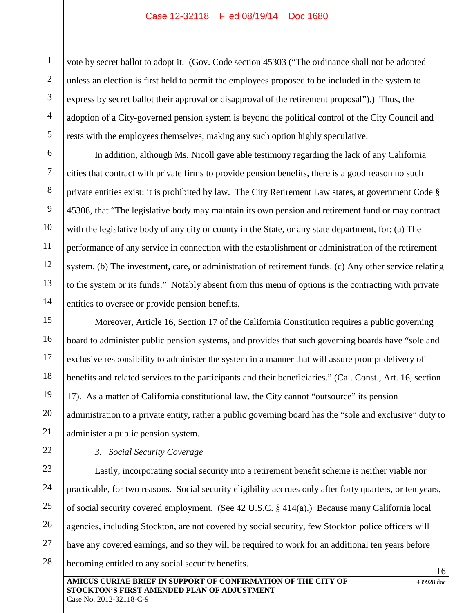vote by secret ballot to adopt it. (Gov. Code section 45303 ("The ordinance shall not be adopted unless an election is first held to permit the employees proposed to be included in the system to express by secret ballot their approval or disapproval of the retirement proposal").) Thus, the adoption of a City-governed pension system is beyond the political control of the City Council and rests with the employees themselves, making any such option highly speculative.

In addition, although Ms. Nicoll gave able testimony regarding the lack of any California cities that contract with private firms to provide pension benefits, there is a good reason no such private entities exist: it is prohibited by law. The City Retirement Law states, at government Code § 45308, that "The legislative body may maintain its own pension and retirement fund or may contract with the legislative body of any city or county in the State, or any state department, for: (a) The performance of any service in connection with the establishment or administration of the retirement system. (b) The investment, care, or administration of retirement funds. (c) Any other service relating to the system or its funds." Notably absent from this menu of options is the contracting with private entities to oversee or provide pension benefits.

15 16 17 18 19 20 Moreover, Article 16, Section 17 of the California Constitution requires a public governing board to administer public pension systems, and provides that such governing boards have "sole and exclusive responsibility to administer the system in a manner that will assure prompt delivery of benefits and related services to the participants and their beneficiaries." (Cal. Const., Art. 16, section 17). As a matter of California constitutional law, the City cannot "outsource" its pension administration to a private entity, rather a public governing board has the "sole and exclusive" duty to administer a public pension system.

# 21 22

1

2

3

4

5

6

7

8

9

10

11

12

13

14

# *3. Social Security Coverage*

23 24 25 26 27 28 Lastly, incorporating social security into a retirement benefit scheme is neither viable nor practicable, for two reasons. Social security eligibility accrues only after forty quarters, or ten years, of social security covered employment. (See 42 U.S.C. § 414(a).) Because many California local agencies, including Stockton, are not covered by social security, few Stockton police officers will have any covered earnings, and so they will be required to work for an additional ten years before becoming entitled to any social security benefits.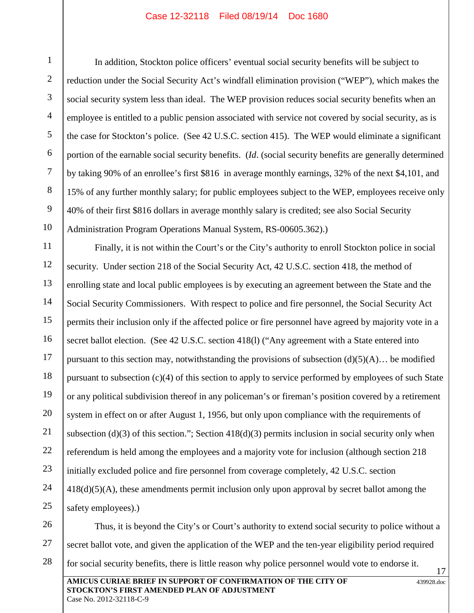1

In addition, Stockton police officers' eventual social security benefits will be subject to reduction under the Social Security Act's windfall elimination provision ("WEP"), which makes the social security system less than ideal. The WEP provision reduces social security benefits when an employee is entitled to a public pension associated with service not covered by social security, as is the case for Stockton's police. (See 42 U.S.C. section 415). The WEP would eliminate a significant portion of the earnable social security benefits. (*Id*. (social security benefits are generally determined by taking 90% of an enrollee's first \$816 in average monthly earnings, 32% of the next \$4,101, and 15% of any further monthly salary; for public employees subject to the WEP, employees receive only 40% of their first \$816 dollars in average monthly salary is credited; see also Social Security Administration Program Operations Manual System, RS-00605.362).)

Finally, it is not within the Court's or the City's authority to enroll Stockton police in social security. Under section 218 of the Social Security Act, 42 U.S.C. section 418, the method of enrolling state and local public employees is by executing an agreement between the State and the Social Security Commissioners. With respect to police and fire personnel, the Social Security Act permits their inclusion only if the affected police or fire personnel have agreed by majority vote in a secret ballot election. (See 42 U.S.C. section 418(1) ("Any agreement with a State entered into pursuant to this section may, notwithstanding the provisions of subsection  $(d)(5)(A)$ … be modified pursuant to subsection (c)(4) of this section to apply to service performed by employees of such State or any political subdivision thereof in any policeman's or fireman's position covered by a retirement system in effect on or after August 1, 1956, but only upon compliance with the requirements of subsection (d)(3) of this section."; Section 418(d)(3) permits inclusion in social security only when referendum is held among the employees and a majority vote for inclusion (although section 218 initially excluded police and fire personnel from coverage completely, 42 U.S.C. section 418(d)(5)(A), these amendments permit inclusion only upon approval by secret ballot among the safety employees).)



Case No. 2012-32118-C-9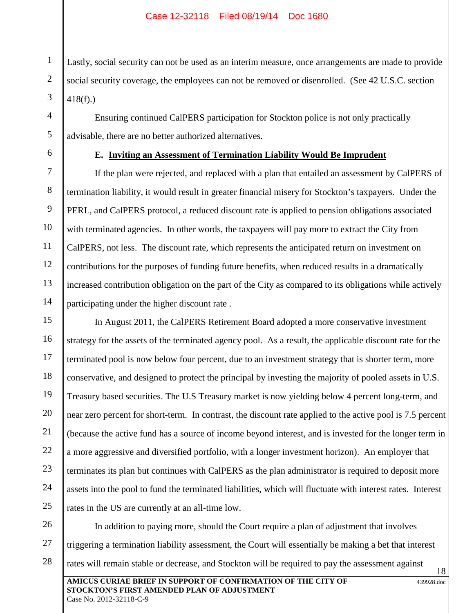Lastly, social security can not be used as an interim measure, once arrangements are made to provide social security coverage, the employees can not be removed or disenrolled. (See 42 U.S.C. section 418(f).)

Ensuring continued CalPERS participation for Stockton police is not only practically advisable, there are no better authorized alternatives.

1

2

3

4

5

6

7

8

9

10

11

12

13

14

# **E. Inviting an Assessment of Termination Liability Would Be Imprudent**

If the plan were rejected, and replaced with a plan that entailed an assessment by CalPERS of termination liability, it would result in greater financial misery for Stockton's taxpayers. Under the PERL, and CalPERS protocol, a reduced discount rate is applied to pension obligations associated with terminated agencies. In other words, the taxpayers will pay more to extract the City from CalPERS, not less. The discount rate, which represents the anticipated return on investment on contributions for the purposes of funding future benefits, when reduced results in a dramatically increased contribution obligation on the part of the City as compared to its obligations while actively participating under the higher discount rate .

15 16 17 18 19 20 21 22 23 24 25 In August 2011, the CalPERS Retirement Board adopted a more conservative investment strategy for the assets of the terminated agency pool. As a result, the applicable discount rate for the terminated pool is now below four percent, due to an investment strategy that is shorter term, more conservative, and designed to protect the principal by investing the majority of pooled assets in U.S. Treasury based securities. The U.S Treasury market is now yielding below 4 percent long-term, and near zero percent for short-term. In contrast, the discount rate applied to the active pool is 7.5 percent (because the active fund has a source of income beyond interest, and is invested for the longer term in a more aggressive and diversified portfolio, with a longer investment horizon). An employer that terminates its plan but continues with CalPERS as the plan administrator is required to deposit more assets into the pool to fund the terminated liabilities, which will fluctuate with interest rates. Interest rates in the US are currently at an all-time low.

**AMICUS CURIAE BRIEF IN SUPPORT OF CONFIRMATION OF THE CITY OF STOCKTON'S FIRST AMENDED PLAN OF ADJUSTMENT** 439928.doc 18 26 27 28 In addition to paying more, should the Court require a plan of adjustment that involves triggering a termination liability assessment, the Court will essentially be making a bet that interest rates will remain stable or decrease, and Stockton will be required to pay the assessment against

Case No. 2012-32118-C-9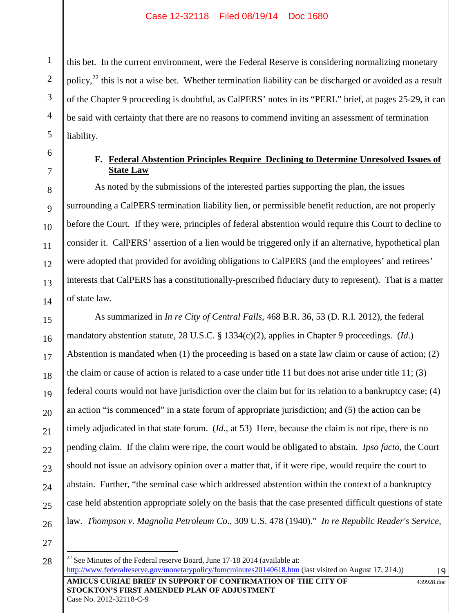this bet. In the current environment, were the Federal Reserve is considering normalizing monetary policy, $^{22}$  this is not a wise bet. Whether termination liability can be discharged or avoided as a result of the Chapter 9 proceeding is doubtful, as CalPERS' notes in its "PERL" brief, at pages 25-29, it can be said with certainty that there are no reasons to commend inviting an assessment of termination liability.

1

2

3

4

5

6

7

8

9

10

11

12

13

14

15

21

22

23

25

# **F. Federal Abstention Principles Require Declining to Determine Unresolved Issues of State Law**

As noted by the submissions of the interested parties supporting the plan, the issues surrounding a CalPERS termination liability lien, or permissible benefit reduction, are not properly before the Court. If they were, principles of federal abstention would require this Court to decline to consider it. CalPERS' assertion of a lien would be triggered only if an alternative, hypothetical plan were adopted that provided for avoiding obligations to CalPERS (and the employees' and retirees' interests that CalPERS has a constitutionally-prescribed fiduciary duty to represent). That is a matter of state law.

16 17 18 19 20 24 26 As summarized in *In re City of Central Falls*, 468 B.R. 36, 53 (D. R.I. 2012), the federal mandatory abstention statute, 28 U.S.C. § 1334(c)(2), applies in Chapter 9 proceedings. (*Id*.) Abstention is mandated when (1) the proceeding is based on a state law claim or cause of action; (2) the claim or cause of action is related to a case under title 11 but does not arise under title 11; (3) federal courts would not have jurisdiction over the claim but for its relation to a bankruptcy case; (4) an action "is commenced" in a state forum of appropriate jurisdiction; and (5) the action can be timely adjudicated in that state forum. (*Id*., at 53) Here, because the claim is not ripe, there is no pending claim. If the claim were ripe, the court would be obligated to abstain. *Ipso facto*, the Court should not issue an advisory opinion over a matter that, if it were ripe, would require the court to abstain. Further, "the seminal case which addressed abstention within the context of a bankruptcy case held abstention appropriate solely on the basis that the case presented difficult questions of state law. *Thompson v. Magnolia Petroleum Co*., 309 U.S. 478 (1940)." *In re Republic Reader's Service,*

27 28

Case No. 2012-32118-C-9

439928.doc

**AMICUS CURIAE BRIEF IN SUPPORT OF CONFIRMATION OF THE CITY OF STOCKTON'S FIRST AMENDED PLAN OF ADJUSTMENT**  $22$  See Minutes of the Federal reserve Board, June 17-18 2014 (available at: http://www.federalreserve.gov/monetarypolicy/fomcminutes20140618.htm (last visited on August 17, 214.))